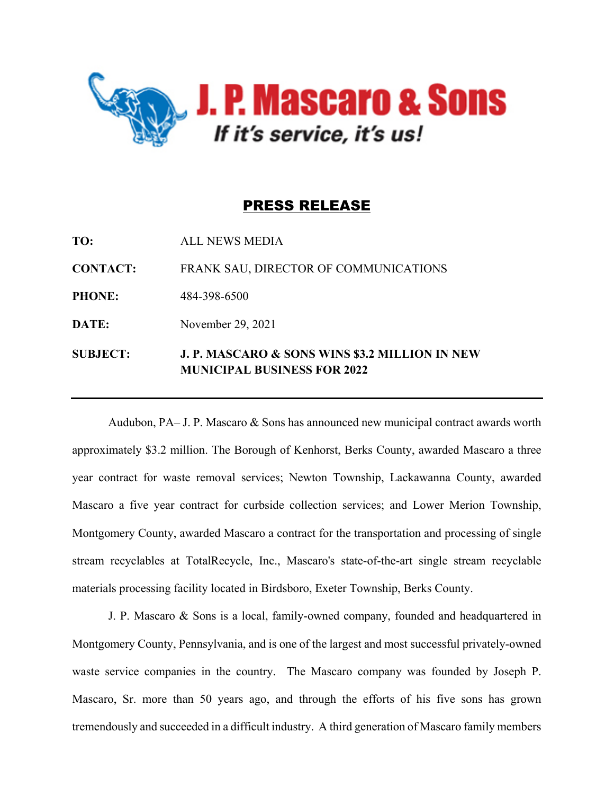

## PRESS RELEASE

| <b>SUBJECT:</b> | <b>J. P. MASCARO &amp; SONS WINS \$3.2 MILLION IN NEW</b><br><b>MUNICIPAL BUSINESS FOR 2022</b> |
|-----------------|-------------------------------------------------------------------------------------------------|
| DATE:           | November 29, 2021                                                                               |
| <b>PHONE:</b>   | 484-398-6500                                                                                    |
| <b>CONTACT:</b> | FRANK SAU, DIRECTOR OF COMMUNICATIONS                                                           |
| TO:             | <b>ALL NEWS MEDIA</b>                                                                           |

Audubon, PA– J. P. Mascaro & Sons has announced new municipal contract awards worth approximately \$3.2 million. The Borough of Kenhorst, Berks County, awarded Mascaro a three year contract for waste removal services; Newton Township, Lackawanna County, awarded Mascaro a five year contract for curbside collection services; and Lower Merion Township, Montgomery County, awarded Mascaro a contract for the transportation and processing of single stream recyclables at TotalRecycle, Inc., Mascaro's state-of-the-art single stream recyclable materials processing facility located in Birdsboro, Exeter Township, Berks County.

J. P. Mascaro & Sons is a local, family-owned company, founded and headquartered in Montgomery County, Pennsylvania, and is one of the largest and most successful privately-owned waste service companies in the country. The Mascaro company was founded by Joseph P. Mascaro, Sr. more than 50 years ago, and through the efforts of his five sons has grown tremendously and succeeded in a difficult industry. A third generation of Mascaro family members